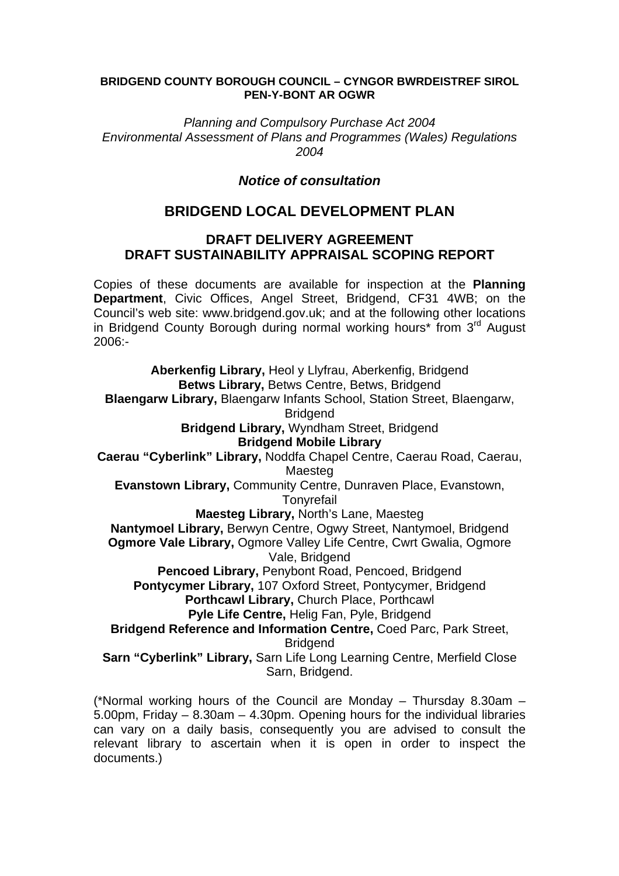## **BRIDGEND COUNTY BOROUGH COUNCIL – CYNGOR BWRDEISTREF SIROL PEN-Y-BONT AR OGWR**

*Planning and Compulsory Purchase Act 2004 Environmental Assessment of Plans and Programmes (Wales) Regulations 2004* 

## *Notice of consultation*

## **BRIDGEND LOCAL DEVELOPMENT PLAN**

## **DRAFT DELIVERY AGREEMENT DRAFT SUSTAINABILITY APPRAISAL SCOPING REPORT**

Copies of these documents are available for inspection at the **Planning Department**, Civic Offices, Angel Street, Bridgend, CF31 4WB; on the Council's web site: www.bridgend.gov.uk; and at the following other locations in Bridgend County Borough during normal working hours<sup>\*</sup> from 3<sup>rd</sup> August 2006:-

**Aberkenfig Library,** Heol y Llyfrau, Aberkenfig, Bridgend **Betws Library,** Betws Centre, Betws, Bridgend **Blaengarw Library,** Blaengarw Infants School, Station Street, Blaengarw, **Bridgend Bridgend Library,** Wyndham Street, Bridgend **Bridgend Mobile Library Caerau "Cyberlink" Library,** Noddfa Chapel Centre, Caerau Road, Caerau, Maesteg **Evanstown Library,** Community Centre, Dunraven Place, Evanstown, **Tonyrefail Maesteg Library,** North's Lane, Maesteg **Nantymoel Library,** Berwyn Centre, Ogwy Street, Nantymoel, Bridgend **Ogmore Vale Library,** Ogmore Valley Life Centre, Cwrt Gwalia, Ogmore Vale, Bridgend **Pencoed Library,** Penybont Road, Pencoed, Bridgend **Pontycymer Library,** 107 Oxford Street, Pontycymer, Bridgend **Porthcawl Library,** Church Place, Porthcawl **Pyle Life Centre,** Helig Fan, Pyle, Bridgend **Bridgend Reference and Information Centre,** Coed Parc, Park Street, **Bridgend Sarn "Cyberlink" Library,** Sarn Life Long Learning Centre, Merfield Close Sarn, Bridgend.

(\*Normal working hours of the Council are Monday – Thursday 8.30am – 5.00pm, Friday – 8.30am – 4.30pm. Opening hours for the individual libraries can vary on a daily basis, consequently you are advised to consult the relevant library to ascertain when it is open in order to inspect the documents.)